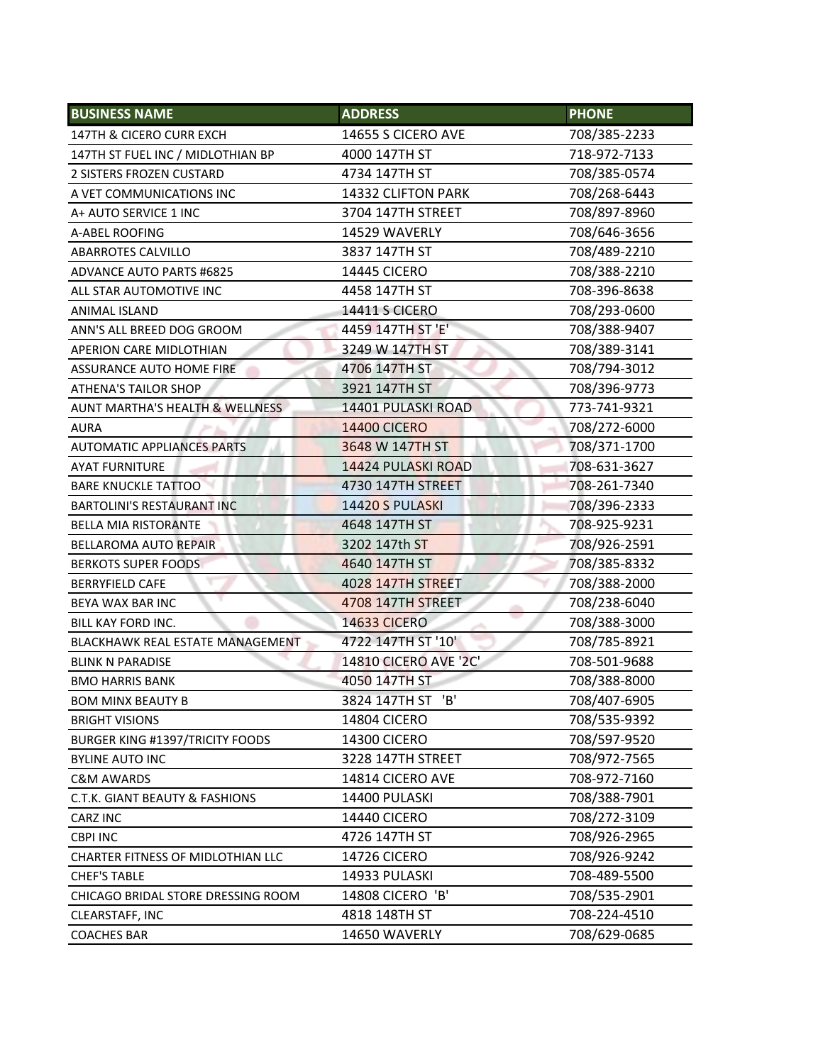| <b>BUSINESS NAME</b>                     | <b>ADDRESS</b>        | <b>PHONE</b> |
|------------------------------------------|-----------------------|--------------|
| 147TH & CICERO CURR EXCH                 | 14655 S CICERO AVE    | 708/385-2233 |
| 147TH ST FUEL INC / MIDLOTHIAN BP        | 4000 147TH ST         | 718-972-7133 |
| 2 SISTERS FROZEN CUSTARD                 | 4734 147TH ST         | 708/385-0574 |
| A VET COMMUNICATIONS INC                 | 14332 CLIFTON PARK    | 708/268-6443 |
| A+ AUTO SERVICE 1 INC                    | 3704 147TH STREET     | 708/897-8960 |
| A-ABEL ROOFING                           | 14529 WAVERLY         | 708/646-3656 |
| <b>ABARROTES CALVILLO</b>                | 3837 147TH ST         | 708/489-2210 |
| <b>ADVANCE AUTO PARTS #6825</b>          | <b>14445 CICERO</b>   | 708/388-2210 |
| ALL STAR AUTOMOTIVE INC                  | 4458 147TH ST         | 708-396-8638 |
| ANIMAL ISLAND                            | <b>14411 S CICERO</b> | 708/293-0600 |
| ANN'S ALL BREED DOG GROOM                | 4459 147TH ST 'E'     | 708/388-9407 |
| APERION CARE MIDLOTHIAN                  | 3249 W 147TH ST       | 708/389-3141 |
| ASSURANCE AUTO HOME FIRE                 | 4706 147TH ST         | 708/794-3012 |
| <b>ATHENA'S TAILOR SHOP</b>              | 3921 147TH ST         | 708/396-9773 |
| AUNT MARTHA'S HEALTH & WELLNESS          | 14401 PULASKI ROAD    | 773-741-9321 |
| <b>AURA</b>                              | <b>14400 CICERO</b>   | 708/272-6000 |
| <b>AUTOMATIC APPLIANCES PARTS</b>        | 3648 W 147TH ST       | 708/371-1700 |
| <b>AYAT FURNITURE</b>                    | 14424 PULASKI ROAD    | 708-631-3627 |
| <b>BARE KNUCKLE TATTOO</b>               | 4730 147TH STREET     | 708-261-7340 |
| <b>BARTOLINI'S RESTAURANT INC</b>        | 14420 S PULASKI       | 708/396-2333 |
| <b>BELLA MIA RISTORANTE</b>              | 4648 147TH ST         | 708-925-9231 |
| <b>BELLAROMA AUTO REPAIR</b>             | 3202 147th ST         | 708/926-2591 |
| <b>BERKOTS SUPER FOODS</b>               | 4640 147TH ST         | 708/385-8332 |
| <b>BERRYFIELD CAFE</b>                   | 4028 147TH STREET     | 708/388-2000 |
| BEYA WAX BAR INC                         | 4708 147TH STREET     | 708/238-6040 |
| BILL KAY FORD INC.                       | <b>14633 CICERO</b>   | 708/388-3000 |
| BLACKHAWK REAL ESTATE MANAGEMENT         | 4722 147TH ST '10'    | 708/785-8921 |
| <b>BLINK N PARADISE</b>                  | 14810 CICERO AVE '2C' | 708-501-9688 |
| <b>BMO HARRIS BANK</b>                   | 4050 147TH ST         | 708/388-8000 |
| <b>BOM MINX BEAUTY B</b>                 | 3824 147TH ST 'B'     | 708/407-6905 |
| <b>BRIGHT VISIONS</b>                    | <b>14804 CICERO</b>   | 708/535-9392 |
| <b>BURGER KING #1397/TRICITY FOODS</b>   | <b>14300 CICERO</b>   | 708/597-9520 |
| <b>BYLINE AUTO INC</b>                   | 3228 147TH STREET     | 708/972-7565 |
| <b>C&amp;M AWARDS</b>                    | 14814 CICERO AVE      | 708-972-7160 |
| C.T.K. GIANT BEAUTY & FASHIONS           | 14400 PULASKI         | 708/388-7901 |
| CARZ INC                                 | 14440 CICERO          | 708/272-3109 |
| <b>CBPI INC</b>                          | 4726 147TH ST         | 708/926-2965 |
| <b>CHARTER FITNESS OF MIDLOTHIAN LLC</b> | <b>14726 CICERO</b>   | 708/926-9242 |
| <b>CHEF'S TABLE</b>                      | 14933 PULASKI         | 708-489-5500 |
| CHICAGO BRIDAL STORE DRESSING ROOM       | 14808 CICERO 'B'      | 708/535-2901 |
| CLEARSTAFF, INC                          | 4818 148TH ST         | 708-224-4510 |
| <b>COACHES BAR</b>                       | 14650 WAVERLY         | 708/629-0685 |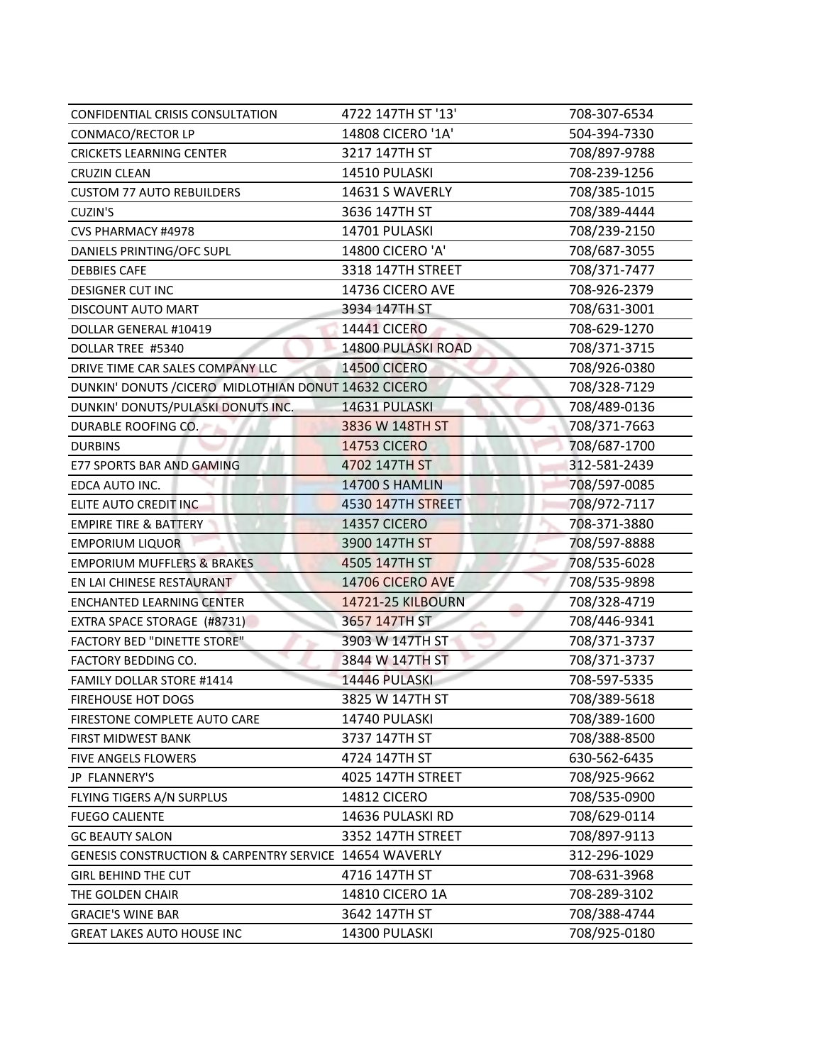| CONFIDENTIAL CRISIS CONSULTATION                       | 4722 147TH ST '13'  | 708-307-6534 |
|--------------------------------------------------------|---------------------|--------------|
| CONMACO/RECTOR LP                                      | 14808 CICERO '1A'   | 504-394-7330 |
| <b>CRICKETS LEARNING CENTER</b>                        | 3217 147TH ST       | 708/897-9788 |
| <b>CRUZIN CLEAN</b>                                    | 14510 PULASKI       | 708-239-1256 |
| <b>CUSTOM 77 AUTO REBUILDERS</b>                       | 14631 S WAVERLY     | 708/385-1015 |
| CUZIN'S                                                | 3636 147TH ST       | 708/389-4444 |
| CVS PHARMACY #4978                                     | 14701 PULASKI       | 708/239-2150 |
| DANIELS PRINTING/OFC SUPL                              | 14800 CICERO 'A'    | 708/687-3055 |
| <b>DEBBIES CAFE</b>                                    | 3318 147TH STREET   | 708/371-7477 |
| <b>DESIGNER CUT INC</b>                                | 14736 CICERO AVE    | 708-926-2379 |
| DISCOUNT AUTO MART                                     | 3934 147TH ST       | 708/631-3001 |
| DOLLAR GENERAL #10419                                  | <b>14441 CICERO</b> | 708-629-1270 |
| DOLLAR TREE #5340                                      | 14800 PULASKI ROAD  | 708/371-3715 |
| DRIVE TIME CAR SALES COMPANY LLC                       | <b>14500 CICERO</b> | 708/926-0380 |
| DUNKIN' DONUTS / CICERO MIDLOTHIAN DONUT 14632 CICERO  |                     | 708/328-7129 |
| DUNKIN' DONUTS/PULASKI DONUTS INC.                     | 14631 PULASKI       | 708/489-0136 |
| DURABLE ROOFING CO.                                    | 3836 W 148TH ST     | 708/371-7663 |
| <b>DURBINS</b>                                         | <b>14753 CICERO</b> | 708/687-1700 |
| <b>E77 SPORTS BAR AND GAMING</b>                       | 4702 147TH ST       | 312-581-2439 |
| EDCA AUTO INC.                                         | 14700 S HAMLIN      | 708/597-0085 |
| ELITE AUTO CREDIT INC                                  | 4530 147TH STREET   | 708/972-7117 |
| <b>EMPIRE TIRE &amp; BATTERY</b>                       | <b>14357 CICERO</b> | 708-371-3880 |
| <b>EMPORIUM LIQUOR</b>                                 | 3900 147TH ST       | 708/597-8888 |
| <b>EMPORIUM MUFFLERS &amp; BRAKES</b>                  | 4505 147TH ST       | 708/535-6028 |
| EN LAI CHINESE RESTAURANT                              | 14706 CICERO AVE    | 708/535-9898 |
| <b>ENCHANTED LEARNING CENTER</b>                       | 14721-25 KILBOURN   | 708/328-4719 |
| EXTRA SPACE STORAGE (#8731)                            | 3657 147TH ST       | 708/446-9341 |
| <b>FACTORY BED "DINETTE STORE"</b>                     | 3903 W 147TH ST     | 708/371-3737 |
| FACTORY BEDDING CO.                                    | 3844 W 147TH ST     | 708/371-3737 |
| FAMILY DOLLAR STORE #1414                              | 14446 PULASKI       | 708-597-5335 |
| <b>FIREHOUSE HOT DOGS</b>                              | 3825 W 147TH ST     | 708/389-5618 |
| FIRESTONE COMPLETE AUTO CARE                           | 14740 PULASKI       | 708/389-1600 |
| FIRST MIDWEST BANK                                     | 3737 147TH ST       | 708/388-8500 |
| FIVE ANGELS FLOWERS                                    | 4724 147TH ST       | 630-562-6435 |
| JP FLANNERY'S                                          | 4025 147TH STREET   | 708/925-9662 |
| FLYING TIGERS A/N SURPLUS                              | <b>14812 CICERO</b> | 708/535-0900 |
| <b>FUEGO CALIENTE</b>                                  | 14636 PULASKI RD    | 708/629-0114 |
| <b>GC BEAUTY SALON</b>                                 | 3352 147TH STREET   | 708/897-9113 |
| GENESIS CONSTRUCTION & CARPENTRY SERVICE 14654 WAVERLY |                     | 312-296-1029 |
| <b>GIRL BEHIND THE CUT</b>                             | 4716 147TH ST       | 708-631-3968 |
| THE GOLDEN CHAIR                                       | 14810 CICERO 1A     | 708-289-3102 |
| <b>GRACIE'S WINE BAR</b>                               | 3642 147TH ST       | 708/388-4744 |
| <b>GREAT LAKES AUTO HOUSE INC</b>                      | 14300 PULASKI       | 708/925-0180 |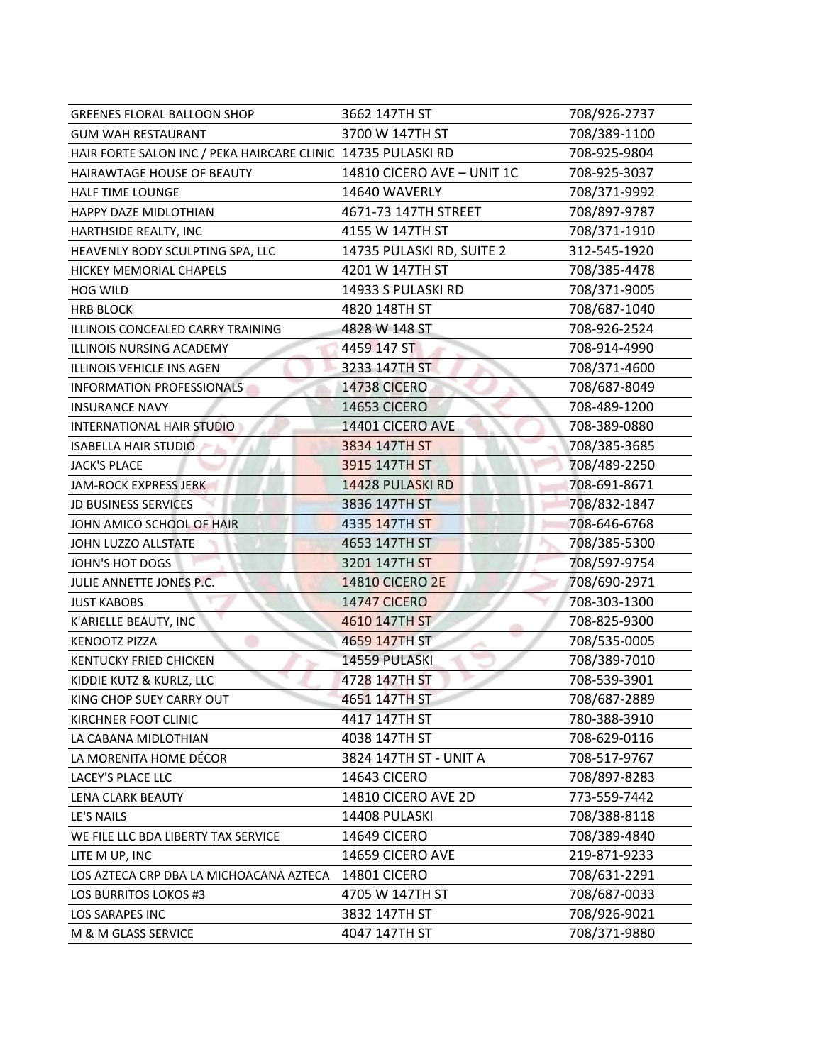| <b>GREENES FLORAL BALLOON SHOP</b>                           | 3662 147TH ST              | 708/926-2737 |
|--------------------------------------------------------------|----------------------------|--------------|
| <b>GUM WAH RESTAURANT</b>                                    | 3700 W 147TH ST            | 708/389-1100 |
| HAIR FORTE SALON INC / PEKA HAIRCARE CLINIC 14735 PULASKI RD |                            | 708-925-9804 |
| HAIRAWTAGE HOUSE OF BEAUTY                                   | 14810 CICERO AVE - UNIT 1C | 708-925-3037 |
| <b>HALF TIME LOUNGE</b>                                      | 14640 WAVERLY              | 708/371-9992 |
| HAPPY DAZE MIDLOTHIAN                                        | 4671-73 147TH STREET       | 708/897-9787 |
| HARTHSIDE REALTY, INC                                        | 4155 W 147TH ST            | 708/371-1910 |
| HEAVENLY BODY SCULPTING SPA, LLC                             | 14735 PULASKI RD, SUITE 2  | 312-545-1920 |
| HICKEY MEMORIAL CHAPELS                                      | 4201 W 147TH ST            | 708/385-4478 |
| <b>HOG WILD</b>                                              | 14933 S PULASKI RD         | 708/371-9005 |
| <b>HRB BLOCK</b>                                             | 4820 148TH ST              | 708/687-1040 |
| ILLINOIS CONCEALED CARRY TRAINING                            | 4828 W 148 ST              | 708-926-2524 |
| ILLINOIS NURSING ACADEMY                                     | 4459 147 ST                | 708-914-4990 |
| ILLINOIS VEHICLE INS AGEN                                    | 3233 147TH ST              | 708/371-4600 |
| INFORMATION PROFESSIONALS                                    | <b>14738 CICERO</b>        | 708/687-8049 |
| <b>INSURANCE NAVY</b>                                        | <b>14653 CICERO</b>        | 708-489-1200 |
| INTERNATIONAL HAIR STUDIO                                    | 14401 CICERO AVE           | 708-389-0880 |
| <b>ISABELLA HAIR STUDIO</b>                                  | 3834 147TH ST              | 708/385-3685 |
| <b>JACK'S PLACE</b>                                          | 3915 147TH ST              | 708/489-2250 |
| <b>JAM-ROCK EXPRESS JERK</b>                                 | 14428 PULASKI RD           | 708-691-8671 |
| <b>JD BUSINESS SERVICES</b>                                  | 3836 147TH ST              | 708/832-1847 |
| JOHN AMICO SCHOOL OF HAIR                                    | 4335 147TH ST              | 708-646-6768 |
| JOHN LUZZO ALLSTATE                                          | 4653 147TH ST              | 708/385-5300 |
| JOHN'S HOT DOGS                                              | 3201 147TH ST              | 708/597-9754 |
| JULIE ANNETTE JONES P.C.                                     | <b>14810 CICERO 2E</b>     | 708/690-2971 |
| <b>JUST KABOBS</b>                                           | <b>14747 CICERO</b>        | 708-303-1300 |
| K'ARIELLE BEAUTY, INC                                        | 4610 147TH ST              | 708-825-9300 |
| <b>KENOOTZ PIZZA</b>                                         | 4659 147TH ST              | 708/535-0005 |
| <b>KENTUCKY FRIED CHICKEN</b>                                | 14559 PULASKI              | 708/389-7010 |
| KIDDIE KUTZ & KURLZ, LLC                                     | 4728 147TH ST              | 708-539-3901 |
| KING CHOP SUEY CARRY OUT                                     | 4651 147TH ST              | 708/687-2889 |
| KIRCHNER FOOT CLINIC                                         | 4417 147TH ST              | 780-388-3910 |
| LA CABANA MIDLOTHIAN                                         | 4038 147TH ST              | 708-629-0116 |
| LA MORENITA HOME DÉCOR                                       | 3824 147TH ST - UNIT A     | 708-517-9767 |
| LACEY'S PLACE LLC                                            | 14643 CICERO               | 708/897-8283 |
| <b>LENA CLARK BEAUTY</b>                                     | 14810 CICERO AVE 2D        | 773-559-7442 |
| LE'S NAILS                                                   | 14408 PULASKI              | 708/388-8118 |
| WE FILE LLC BDA LIBERTY TAX SERVICE                          | 14649 CICERO               | 708/389-4840 |
| LITE M UP, INC                                               | 14659 CICERO AVE           | 219-871-9233 |
| LOS AZTECA CRP DBA LA MICHOACANA AZTECA                      | <b>14801 CICERO</b>        | 708/631-2291 |
| LOS BURRITOS LOKOS #3                                        | 4705 W 147TH ST            | 708/687-0033 |
| LOS SARAPES INC                                              | 3832 147TH ST              | 708/926-9021 |
| M & M GLASS SERVICE                                          | 4047 147TH ST              | 708/371-9880 |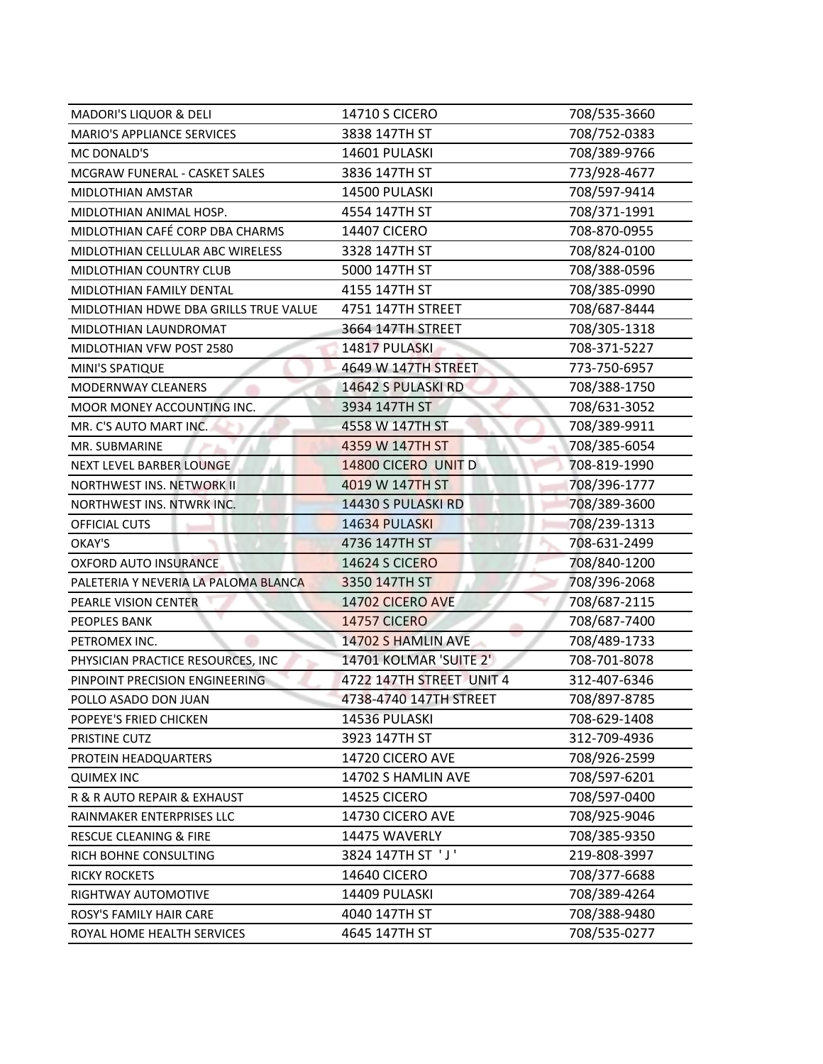| <b>MADORI'S LIQUOR &amp; DELI</b>     | <b>14710 S CICERO</b>    | 708/535-3660 |
|---------------------------------------|--------------------------|--------------|
| <b>MARIO'S APPLIANCE SERVICES</b>     | 3838 147TH ST            | 708/752-0383 |
| MC DONALD'S                           | 14601 PULASKI            | 708/389-9766 |
| <b>MCGRAW FUNERAL - CASKET SALES</b>  | 3836 147TH ST            | 773/928-4677 |
| MIDLOTHIAN AMSTAR                     | 14500 PULASKI            | 708/597-9414 |
| MIDLOTHIAN ANIMAL HOSP.               | 4554 147TH ST            | 708/371-1991 |
| MIDLOTHIAN CAFÉ CORP DBA CHARMS       | <b>14407 CICERO</b>      | 708-870-0955 |
| MIDLOTHIAN CELLULAR ABC WIRELESS      | 3328 147TH ST            | 708/824-0100 |
| MIDLOTHIAN COUNTRY CLUB               | 5000 147TH ST            | 708/388-0596 |
| MIDLOTHIAN FAMILY DENTAL              | 4155 147TH ST            | 708/385-0990 |
| MIDLOTHIAN HDWE DBA GRILLS TRUE VALUE | 4751 147TH STREET        | 708/687-8444 |
| MIDLOTHIAN LAUNDROMAT                 | 3664 147TH STREET        | 708/305-1318 |
| MIDLOTHIAN VFW POST 2580              | 14817 PULASKI            | 708-371-5227 |
| MINI'S SPATIQUE                       | 4649 W 147TH STREET      | 773-750-6957 |
| MODERNWAY CLEANERS                    | 14642 S PULASKI RD       | 708/388-1750 |
| MOOR MONEY ACCOUNTING INC.            | 3934 147TH ST            | 708/631-3052 |
| MR. C'S AUTO MART INC.                | 4558 W 147TH ST          | 708/389-9911 |
| MR. SUBMARINE                         | 4359 W 147TH ST          | 708/385-6054 |
| NEXT LEVEL BARBER LOUNGE              | 14800 CICERO UNIT D      | 708-819-1990 |
| <b>NORTHWEST INS. NETWORK II</b>      | 4019 W 147TH ST          | 708/396-1777 |
| NORTHWEST INS. NTWRK INC.             | 14430 S PULASKI RD       | 708/389-3600 |
| OFFICIAL CUTS                         | 14634 PULASKI            | 708/239-1313 |
| OKAY'S                                | 4736 147TH ST            | 708-631-2499 |
| <b>OXFORD AUTO INSURANCE</b>          | <b>14624 S CICERO</b>    | 708/840-1200 |
| PALETERIA Y NEVERIA LA PALOMA BLANCA  | 3350 147TH ST            | 708/396-2068 |
| PEARLE VISION CENTER                  | 14702 CICERO AVE         | 708/687-2115 |
| <b>PEOPLES BANK</b>                   | <b>14757 CICERO</b>      | 708/687-7400 |
| PETROMEX INC.                         | 14702 S HAMLIN AVE       | 708/489-1733 |
| PHYSICIAN PRACTICE RESOURCES, INC     | 14701 KOLMAR 'SUITE 2'   | 708-701-8078 |
| PINPOINT PRECISION ENGINEERING        | 4722 147TH STREET UNIT 4 | 312-407-6346 |
| POLLO ASADO DON JUAN                  | 4738-4740 147TH STREET   | 708/897-8785 |
| POPEYE'S FRIED CHICKEN                | 14536 PULASKI            | 708-629-1408 |
| PRISTINE CUTZ                         | 3923 147TH ST            | 312-709-4936 |
| PROTEIN HEADQUARTERS                  | 14720 CICERO AVE         | 708/926-2599 |
| <b>QUIMEX INC</b>                     | 14702 S HAMLIN AVE       | 708/597-6201 |
| R & R AUTO REPAIR & EXHAUST           | <b>14525 CICERO</b>      | 708/597-0400 |
| RAINMAKER ENTERPRISES LLC             | 14730 CICERO AVE         | 708/925-9046 |
| RESCUE CLEANING & FIRE                | 14475 WAVERLY            | 708/385-9350 |
| RICH BOHNE CONSULTING                 | 3824 147TH ST 'J'        | 219-808-3997 |
| <b>RICKY ROCKETS</b>                  | <b>14640 CICERO</b>      | 708/377-6688 |
| RIGHTWAY AUTOMOTIVE                   | 14409 PULASKI            | 708/389-4264 |
| ROSY'S FAMILY HAIR CARE               | 4040 147TH ST            | 708/388-9480 |
| ROYAL HOME HEALTH SERVICES            | 4645 147TH ST            | 708/535-0277 |